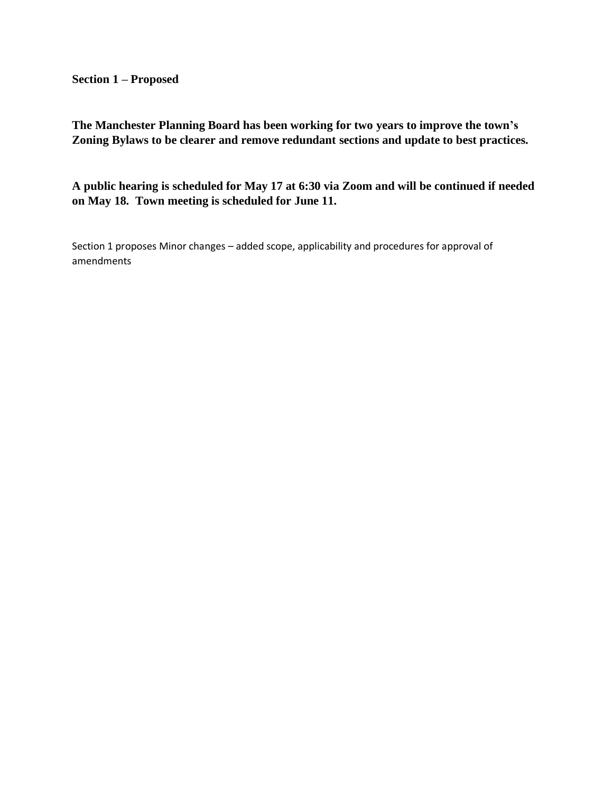**Section 1 – Proposed** 

**The Manchester Planning Board has been working for two years to improve the town's Zoning Bylaws to be clearer and remove redundant sections and update to best practices.** 

**A public hearing is scheduled for May 17 at 6:30 via Zoom and will be continued if needed on May 18. Town meeting is scheduled for June 11.**

Section 1 proposes Minor changes – added scope, applicability and procedures for approval of amendments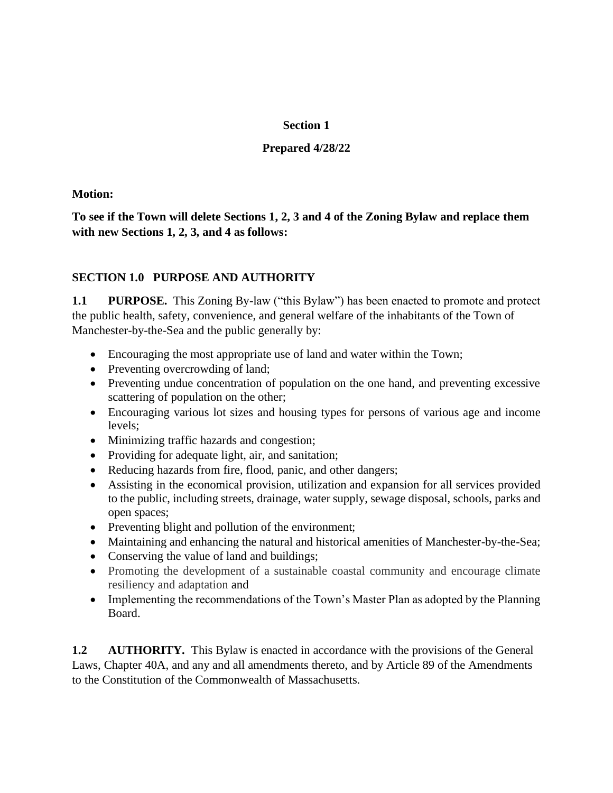## **Section 1**

## **Prepared 4/28/22**

## **Motion:**

**To see if the Town will delete Sections 1, 2, 3 and 4 of the Zoning Bylaw and replace them with new Sections 1, 2, 3, and 4 as follows:** 

## **SECTION 1.0 PURPOSE AND AUTHORITY**

**1.1 PURPOSE.** This Zoning By-law ("this Bylaw") has been enacted to promote and protect the public health, safety, convenience, and general welfare of the inhabitants of the Town of Manchester-by-the-Sea and the public generally by:

- Encouraging the most appropriate use of land and water within the Town;
- Preventing overcrowding of land;
- Preventing undue concentration of population on the one hand, and preventing excessive scattering of population on the other;
- Encouraging various lot sizes and housing types for persons of various age and income levels;
- Minimizing traffic hazards and congestion;
- Providing for adequate light, air, and sanitation;
- Reducing hazards from fire, flood, panic, and other dangers;
- Assisting in the economical provision, utilization and expansion for all services provided to the public, including streets, drainage, water supply, sewage disposal, schools, parks and open spaces;
- Preventing blight and pollution of the environment;
- Maintaining and enhancing the natural and historical amenities of Manchester-by-the-Sea;
- Conserving the value of land and buildings;
- Promoting the development of a sustainable coastal community and encourage climate resiliency and adaptation and
- Implementing the recommendations of the Town's Master Plan as adopted by the Planning Board.

**1.2 AUTHORITY.** This Bylaw is enacted in accordance with the provisions of the General Laws, Chapter 40A, and any and all amendments thereto, and by Article 89 of the Amendments to the Constitution of the Commonwealth of Massachusetts.